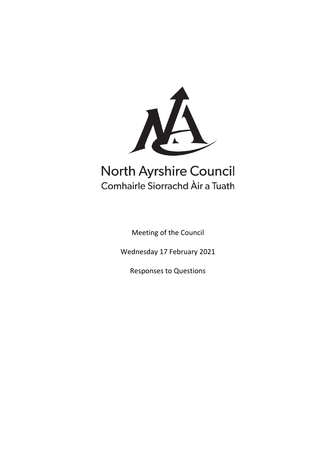

# **North Ayrshire Council** Comhairle Siorrachd Àir a Tuath

Meeting of the Council

Wednesday 17 February 2021

Responses to Questions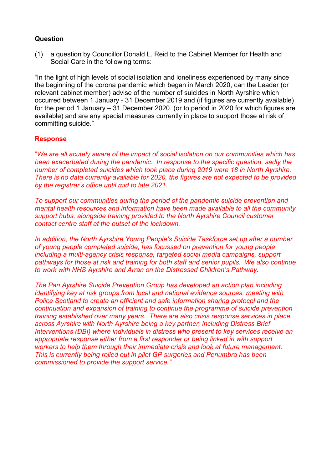(1) a question by Councillor Donald L. Reid to the Cabinet Member for Health and Social Care in the following terms:

"In the light of high levels of social isolation and loneliness experienced by many since the beginning of the corona pandemic which began in March 2020, can the Leader (or relevant cabinet member) advise of the number of suicides in North Ayrshire which occurred between 1 January - 31 December 2019 and (if figures are currently available) for the period 1 January – 31 December 2020. (or to period in 2020 for which figures are available) and are any special measures currently in place to support those at risk of committing suicide."

# **Response**

"*We are all acutely aware of the impact of social isolation on our communities which has been exacerbated during the pandemic. In response to the specific question, sadly the number of completed suicides which took place during 2019 were 18 in North Ayrshire. There is no data currently available for 2020, the figures are not expected to be provided by the registrar's office until mid to late 2021.* 

*To support our communities during the period of the pandemic suicide prevention and mental health resources and information have been made available to all the community support hubs, alongside training provided to the North Ayrshire Council customer contact centre staff at the outset of the lockdown.* 

*In addition, the North Ayrshire Young People's Suicide Taskforce set up after a number of young people completed suicide, has focussed on prevention for young people including a multi-agency crisis response, targeted social media campaigns, support pathways for those at risk and training for both staff and senior pupils. We also continue to work with NHS Ayrshire and Arran on the Distressed Children's Pathway.*

*The Pan Ayrshire Suicide Prevention Group has developed an action plan including identifying key at risk groups from local and national evidence sources, meeting with Police Scotland to create an efficient and safe information sharing protocol and the continuation and expansion of training to continue the programme of suicide prevention training established over many years. There are also crisis response services in place across Ayrshire with North Ayrshire being a key partner, including Distress Brief Interventions (DBI) where individuals in distress who present to key services receive an appropriate response either from a first responder or being linked in with support workers to help them through their immediate crisis and look at future management. This is currently being rolled out in pilot GP surgeries and Penumbra has been commissioned to provide the support service."*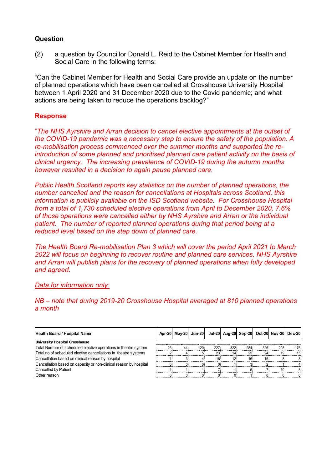(2) a question by Councillor Donald L. Reid to the Cabinet Member for Health and Social Care in the following terms:

"Can the Cabinet Member for Health and Social Care provide an update on the number of planned operations which have been cancelled at Crosshouse University Hospital between 1 April 2020 and 31 December 2020 due to the Covid pandemic; and what actions are being taken to reduce the operations backlog?"

# **Response**

"*The NHS Ayrshire and Arran decision to cancel elective appointments at the outset of the COVID-19 pandemic was a necessary step to ensure the safety of the population. A re-mobilisation process commenced over the summer months and supported the reintroduction of some planned and prioritised planned care patient activity on the basis of clinical urgency. The increasing prevalence of COVID-19 during the autumn months however resulted in a decision to again pause planned care.*

*Public Health Scotland reports key statistics on the number of planned operations, the number cancelled and the reason for cancellations at Hospitals across Scotland, this information is publicly available on the ISD Scotland website. For Crosshouse Hospital from a total of 1,730 scheduled elective operations from April to December 2020, 7.6% of those operations were cancelled either by NHS Ayrshire and Arran or the individual patient. The number of reported planned operations during that period being at a reduced level based on the step down of planned care.* 

*The Health Board Re-mobilisation Plan 3 which will cover the period April 2021 to March 2022 will focus on beginning to recover routine and planned care services, NHS Ayrshire and Arran will publish plans for the recovery of planned operations when fully developed and agreed.* 

#### *Data for information only:*

*NB – note that during 2019-20 Crosshouse Hospital averaged at 810 planned operations a month*

| <b>Health Board / Hospital Name</b>                               |                 |    |     |     |     |     |     | Apr-20 May-20 Jun-20 Jul-20 Aug-20 Sep-20 Oct-20 Nov-20 Dec-20 |     |
|-------------------------------------------------------------------|-----------------|----|-----|-----|-----|-----|-----|----------------------------------------------------------------|-----|
| University Hospital Crosshouse                                    |                 |    |     |     |     |     |     |                                                                |     |
| Total Number of scheduled elective operations in theatre system   | 23 <sub>1</sub> | 44 | 120 | 227 | 322 | 284 | 326 | 208                                                            | 176 |
| Total no of scheduled elective cancellations in theatre systems   |                 |    |     | 23  | 14  | 25  | 24  | 19 <sub>i</sub>                                                | 15  |
| Cancellation based on clinical reason by hospital                 |                 |    |     | 16  | 12  | 16  |     |                                                                |     |
| Cancellation based on capacity or non-clinical reason by hospital |                 |    |     |     |     |     |     |                                                                |     |
| Cancelled by Patient                                              |                 |    |     |     |     |     |     |                                                                |     |
| Other reason                                                      |                 |    |     |     |     |     |     |                                                                |     |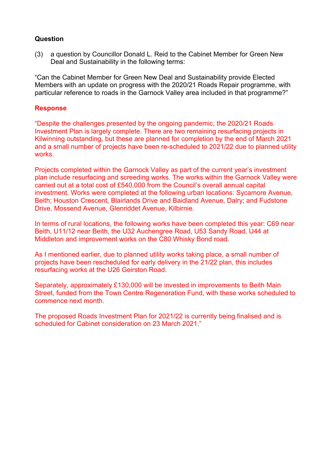(3) a question by Councillor Donald L. Reid to the Cabinet Member for Green New Deal and Sustainability in the following terms:

"Can the Cabinet Member for Green New Deal and Sustainability provide Elected Members with an update on progress with the 2020/21 Roads Repair programme, with particular reference to roads in the Garnock Valley area included in that programme?"

## **Response**

"Despite the challenges presented by the ongoing pandemic, the 2020/21 Roads Investment Plan is largely complete. There are two remaining resurfacing projects in Kilwinning outstanding, but these are planned for completion by the end of March 2021 and a small number of projects have been re-scheduled to 2021/22 due to planned utility works.

Projects completed within the Garnock Valley as part of the current year's investment plan include resurfacing and screeding works. The works within the Garnock Valley were carried out at a total cost of £540,000 from the Council's overall annual capital investment. Works were completed at the following urban locations: Sycamore Avenue, Beith; Houston Crescent, Blairlands Drive and Baidland Avenue, Dalry; and Fudstone Drive, Mossend Avenue, Glenriddet Avenue, Kilbirnie.

In terms of rural locations, the following works have been completed this year: C69 near Beith, U11/12 near Beith, the U32 Auchengree Road, U53 Sandy Road, U44 at Middleton and improvement works on the C80 Whisky Bond road.

As I mentioned earlier, due to planned utility works taking place, a small number of projects have been rescheduled for early delivery in the 21/22 plan, this includes resurfacing works at the U26 Geirston Road.

Separately, approximately £130,000 will be invested in improvements to Beith Main Street, funded from the Town Centre Regeneration Fund, with these works scheduled to commence next month.

The proposed Roads Investment Plan for 2021/22 is currently being finalised and is scheduled for Cabinet consideration on 23 March 2021."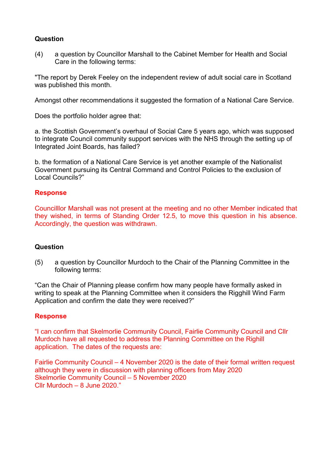(4) a question by Councillor Marshall to the Cabinet Member for Health and Social Care in the following terms:

"The report by Derek Feeley on the independent review of adult social care in Scotland was published this month.

Amongst other recommendations it suggested the formation of a National Care Service.

Does the portfolio holder agree that:

a. the Scottish Government's overhaul of Social Care 5 years ago, which was supposed to integrate Council community support services with the NHS through the setting up of Integrated Joint Boards, has failed?

b. the formation of a National Care Service is yet another example of the Nationalist Government pursuing its Central Command and Control Policies to the exclusion of Local Councils?"

## **Response**

Councilllor Marshall was not present at the meeting and no other Member indicated that they wished, in terms of Standing Order 12.5, to move this question in his absence. Accordingly, the question was withdrawn.

#### **Question**

(5) a question by Councillor Murdoch to the Chair of the Planning Committee in the following terms:

"Can the Chair of Planning please confirm how many people have formally asked in writing to speak at the Planning Committee when it considers the Rigghill Wind Farm Application and confirm the date they were received?"

#### **Response**

"I can confirm that Skelmorlie Community Council, Fairlie Community Council and Cllr Murdoch have all requested to address the Planning Committee on the Righill application. The dates of the requests are:

Fairlie Community Council – 4 November 2020 is the date of their formal written request although they were in discussion with planning officers from May 2020 Skelmorlie Community Council – 5 November 2020 Cllr Murdoch – 8 June 2020."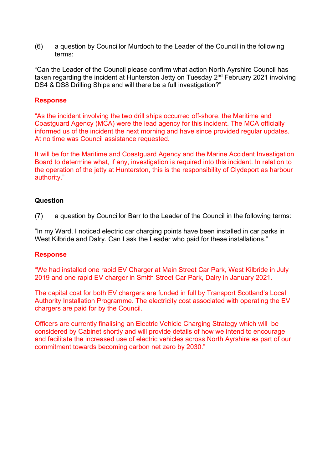(6) a question by Councillor Murdoch to the Leader of the Council in the following terms:

"Can the Leader of the Council please confirm what action North Ayrshire Council has taken regarding the incident at Hunterston Jetty on Tuesday 2<sup>nd</sup> February 2021 involving DS4 & DS8 Drilling Ships and will there be a full investigation?"

# **Response**

"As the incident involving the two drill ships occurred off-shore, the Maritime and Coastguard Agency (MCA) were the lead agency for this incident. The MCA officially informed us of the incident the next morning and have since provided regular updates. At no time was Council assistance requested.

It will be for the Maritime and Coastguard Agency and the Marine Accident Investigation Board to determine what, if any, investigation is required into this incident. In relation to the operation of the jetty at Hunterston, this is the responsibility of Clydeport as harbour authority."

## **Question**

(7) a question by Councillor Barr to the Leader of the Council in the following terms:

"In my Ward, I noticed electric car charging points have been installed in car parks in West Kilbride and Dalry. Can I ask the Leader who paid for these installations."

#### **Response**

"We had installed one rapid EV Charger at Main Street Car Park, West Kilbride in July 2019 and one rapid EV charger in Smith Street Car Park, Dalry in January 2021.

The capital cost for both EV chargers are funded in full by Transport Scotland's Local Authority Installation Programme. The electricity cost associated with operating the EV chargers are paid for by the Council.

Officers are currently finalising an Electric Vehicle Charging Strategy which will be considered by Cabinet shortly and will provide details of how we intend to encourage and facilitate the increased use of electric vehicles across North Ayrshire as part of our commitment towards becoming carbon net zero by 2030."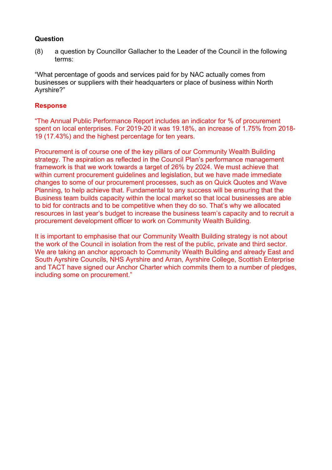(8) a question by Councillor Gallacher to the Leader of the Council in the following terms:

"What percentage of goods and services paid for by NAC actually comes from businesses or suppliers with their headquarters or place of business within North Ayrshire?"

## **Response**

"The Annual Public Performance Report includes an indicator for % of procurement spent on local enterprises. For 2019-20 it was 19.18%, an increase of 1.75% from 2018- 19 (17.43%) and the highest percentage for ten years.

Procurement is of course one of the key pillars of our Community Wealth Building strategy. The aspiration as reflected in the Council Plan's performance management framework is that we work towards a target of 26% by 2024. We must achieve that within current procurement guidelines and legislation, but we have made immediate changes to some of our procurement processes, such as on Quick Quotes and Wave Planning, to help achieve that. Fundamental to any success will be ensuring that the Business team builds capacity within the local market so that local businesses are able to bid for contracts and to be competitive when they do so. That's why we allocated resources in last year's budget to increase the business team's capacity and to recruit a procurement development officer to work on Community Wealth Building.

It is important to emphasise that our Community Wealth Building strategy is not about the work of the Council in isolation from the rest of the public, private and third sector. We are taking an anchor approach to Community Wealth Building and already East and South Ayrshire Councils, NHS Ayrshire and Arran, Ayrshire College, Scottish Enterprise and TACT have signed our Anchor Charter which commits them to a number of pledges, including some on procurement."